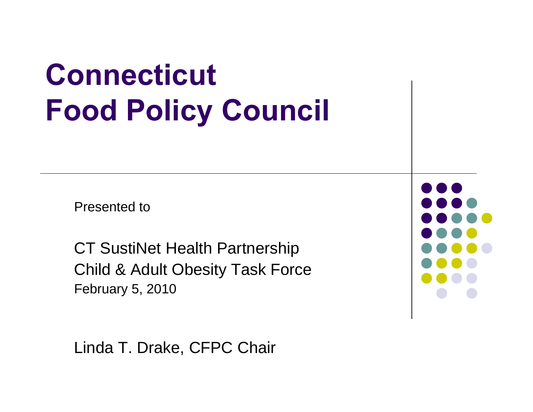# **Connecticut Food Policy Council**

Presented to

CT SustiNet Health Partnership Child & Adult Obesity Task Force February 5, 2010

Linda T. Drake, CFPC Chair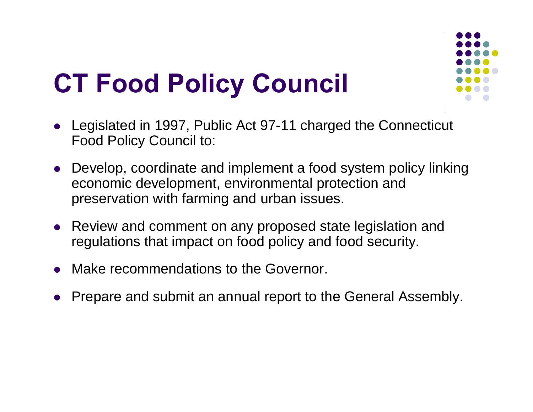## **CT Food Policy Council**



- $\bullet$  Legislated in 1997, Public Act 97-11 charged the Connecticut Food Policy Council to:
- Develop, coordinate and implement a food system policy linking economic development, environmental protection and preservation with farming and urban issues.
- Review and comment on any proposed state legislation and regulations that impact on food policy and food security.
- $\bullet$ Make recommendations to the Governor.
- $\bullet$ Prepare and submit an annual report to the General Assembly.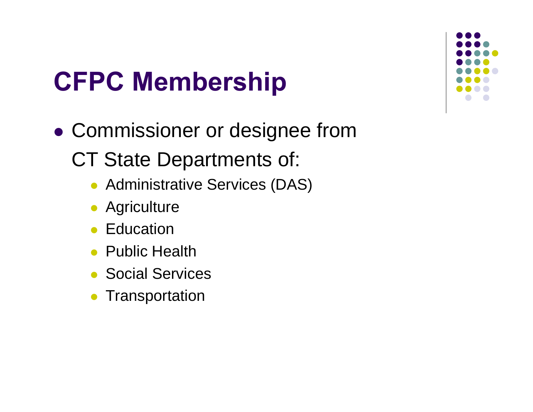## **CFPC Membership**

- $\bullet$  Commissioner or designee from CT State Departments of:
	- Administrative Services (DAS)
	- **Agriculture**
	- **Education**
	- Public Health
	- Social Services
	- $\bullet$ **Transportation**

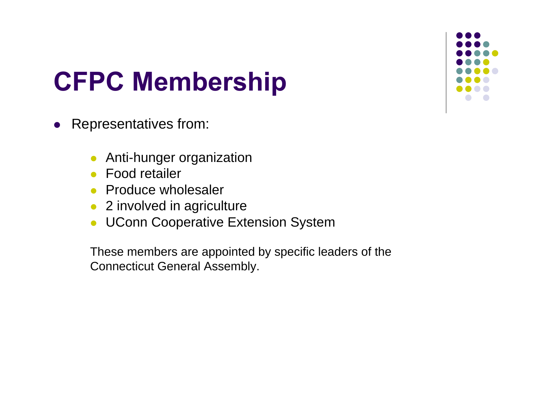## **CFPC Membership**

- $\bullet$  Representatives from:
	- $\bullet$ Anti-hunger organization
	- Food retailer
	- Produce wholesaler
	- 2 involved in agriculture
	- $\bullet$ UConn Cooperative Extension System

These members are appointed by specific leaders of the Connecticut General Assembly.

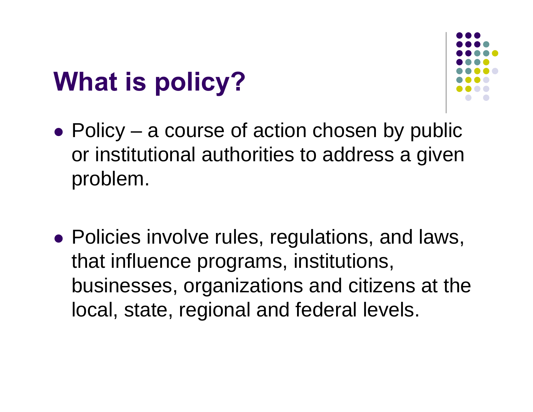## **What is policy?**



- $\bullet$  Policy a course of action chosen by public or institutional authorities to address a given problem.
- Policies involve rules, regulations, and laws, that influence programs, institutions, businesses, organizations and citizens at the local, state, regional and federal levels.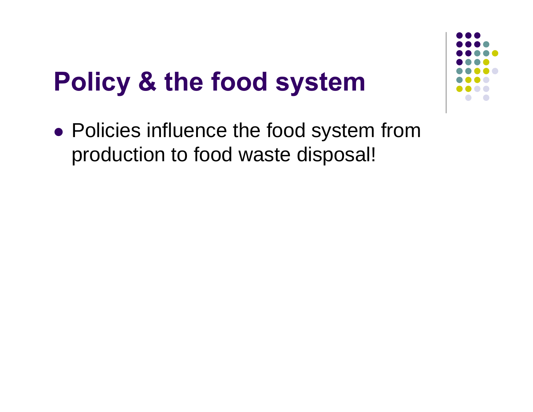## **Policy & the food system**



• Policies influence the food system from production to food waste disposal!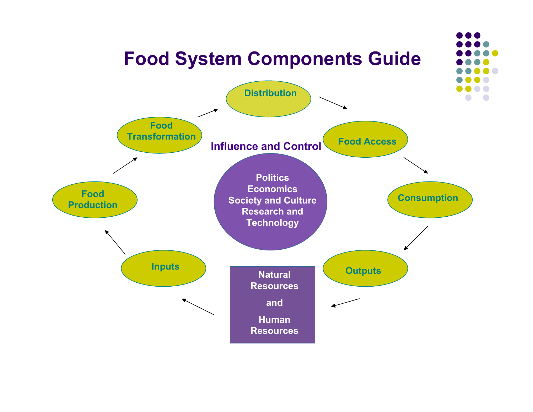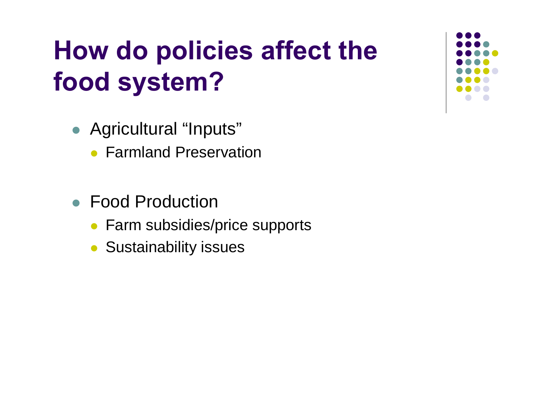## **How do policies affect the food system?**

- Agricultural "Inputs"
	- Farmland Preservation
- Food Production
	- Farm subsidies/price supports
	- Sustainability issues

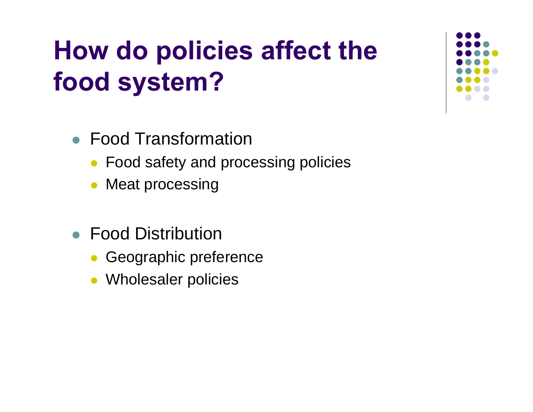## **How do policies affect the food system?**

- Food Transformation
	- Food safety and processing policies
	- $\bullet$ Meat processing
- Food Distribution
	- $\bullet$ Geographic preference
	- $\bullet$ Wholesaler policies

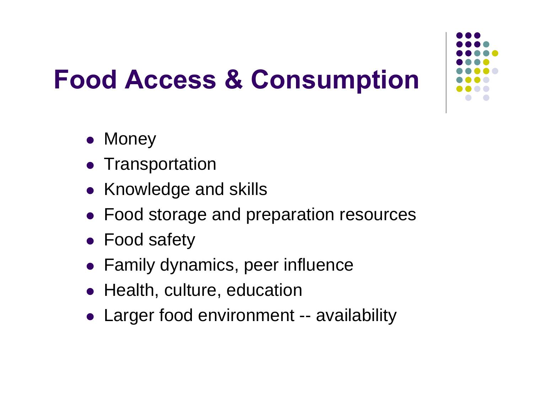

# **Food Access & Consumption**

- Money
- Transportation
- Knowledge and skills
- Food storage and preparation resources
- Food safety
- Family dynamics, peer influence
- Health, culture, education
- Larger food environment -- availability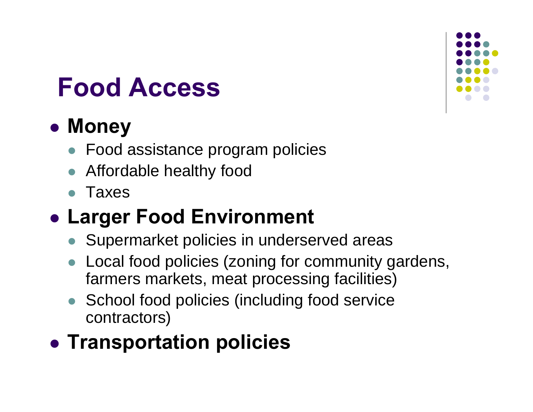### **Food Access**

#### z **Money**

- Food assistance program policies
- Affordable healthy food
- $\bullet$ Taxes

#### **• Larger Food Environment**

- Supermarket policies in underserved areas
- $\bullet$  Local food policies (zoning for community gardens, farmers markets, meat processing facilities)
- School food policies (including food service contractors)

#### **• Transportation policies**

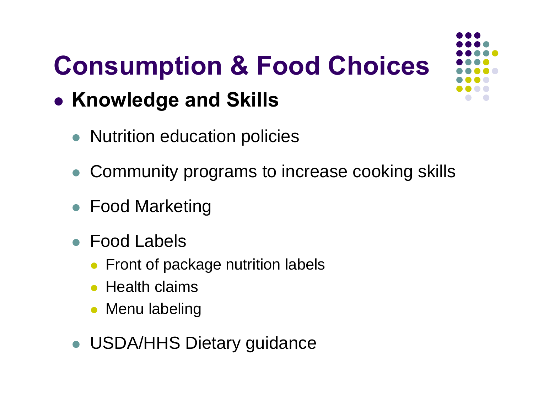# **Consumption & Food Choices**

#### **• Knowledge and Skills**

- Nutrition education policies
- $\bullet$ Community programs to increase cooking skills
- Food Marketing
- Food Labels
	- Front of package nutrition labels
	- $\bullet$  Health claims
	- Menu labeling
- USDA/HHS Dietary guidance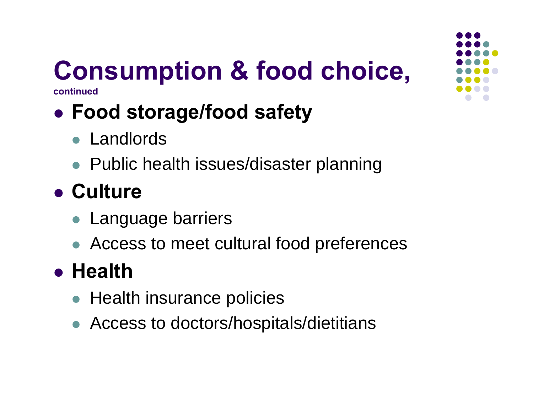# **Consumption & food choice,**

**continued**

### z **Food storage/food safety**

- Landlords
- Public health issues/disaster planning

### **• Culture**

- Language barriers
- Access to meet cultural food preferences

### z **Health**

- Health insurance policies
- Access to doctors/hospitals/dietitians

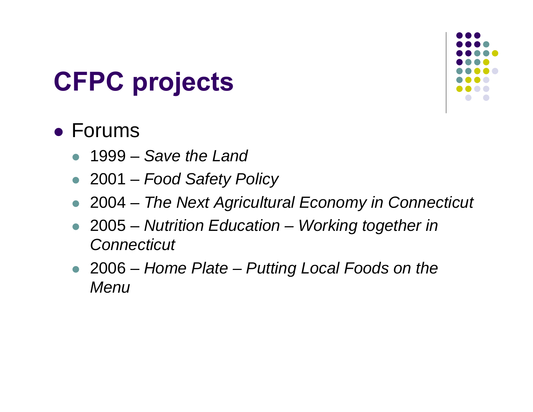## **CFPC projects**



#### • Forums

- $\bullet$ 1999 – *Save the Land*
- z 2001 *Food Safety Policy*
- $\bullet$ 2004 – *The Next Agricultural Economy in Connecticut*
- z 2005 *Nutrition Education – Working together in Connecticut*
- z 2006 *Home Plate – Putting Local Foods on the Menu*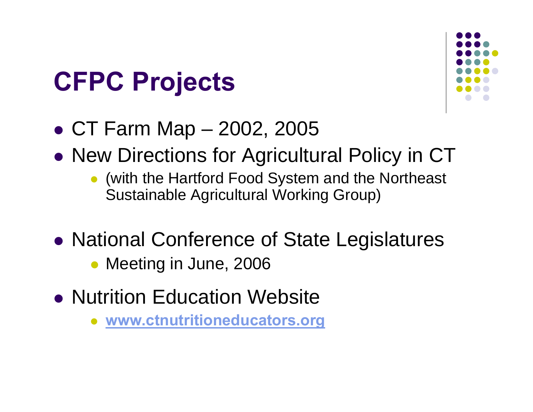## **CFPC Projects**



- CT Farm Map 2002, 2005
- $\bullet$  New Directions for Agricultural Policy in CT
	- (with the Hartford Food System and the Northeast Sustainable Agricultural Working Group)
- $\bullet$  National Conference of State Legislatures
	- Meeting in June, 2006
- Nutrition Education Website
	- $\bullet$ **[www.ctnutritioneducators.org](http://www.ctnutritioneducators.org/)**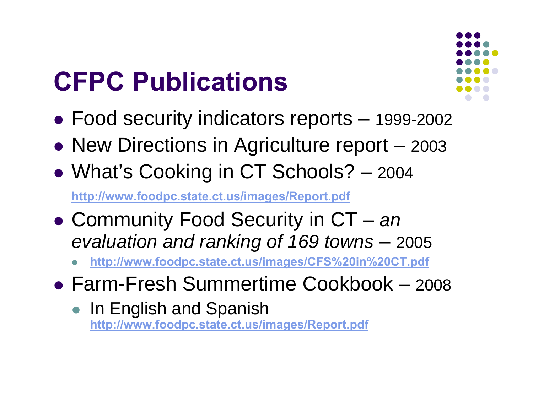## **CFPC Publications**



- Food security indicators reports 1999-2002
- New Directions in Agriculture report 2003
- $\bullet$ What's Cooking in CT Schools? – <sup>2004</sup>

**<http://www.foodpc.state.ct.us/images/Report.pdf>**

- Community Food Security in CT *an evaluation and ranking of 169 towns* – 2005
	- $\bullet$ **http://www.foodpc.state.ct.us/images/CFS%20in%20CT.pdf**
- Farm-Fresh Summertime Cookbook 2008
	- $\bullet$  In English and Spanish **<http://www.foodpc.state.ct.us/images/Report.pdf>**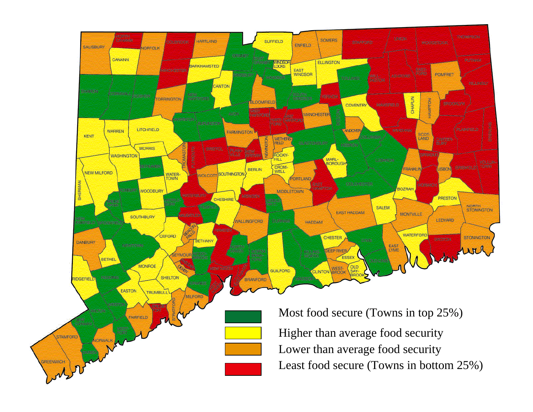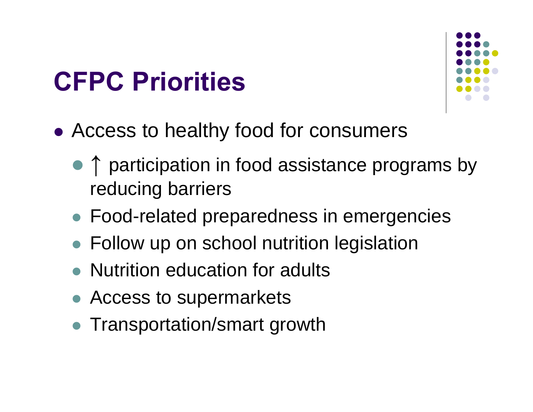## **CFPC Priorities**



- Access to healthy food for consumers
	- ↑ participation in food assistance programs by reducing barriers
	- **Food-related preparedness in emergencies**
	- Follow up on school nutrition legislation
	- Nutrition education for adults
	- Access to supermarkets
	- Transportation/smart growth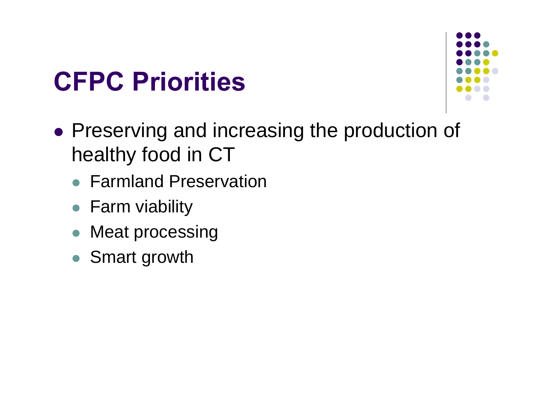## **CFPC Priorities**



- Preserving and increasing the production of healthy food in CT
	- Farmland Preservation
	- Farm viability
	- $\bullet$ Meat processing
	- Smart growth